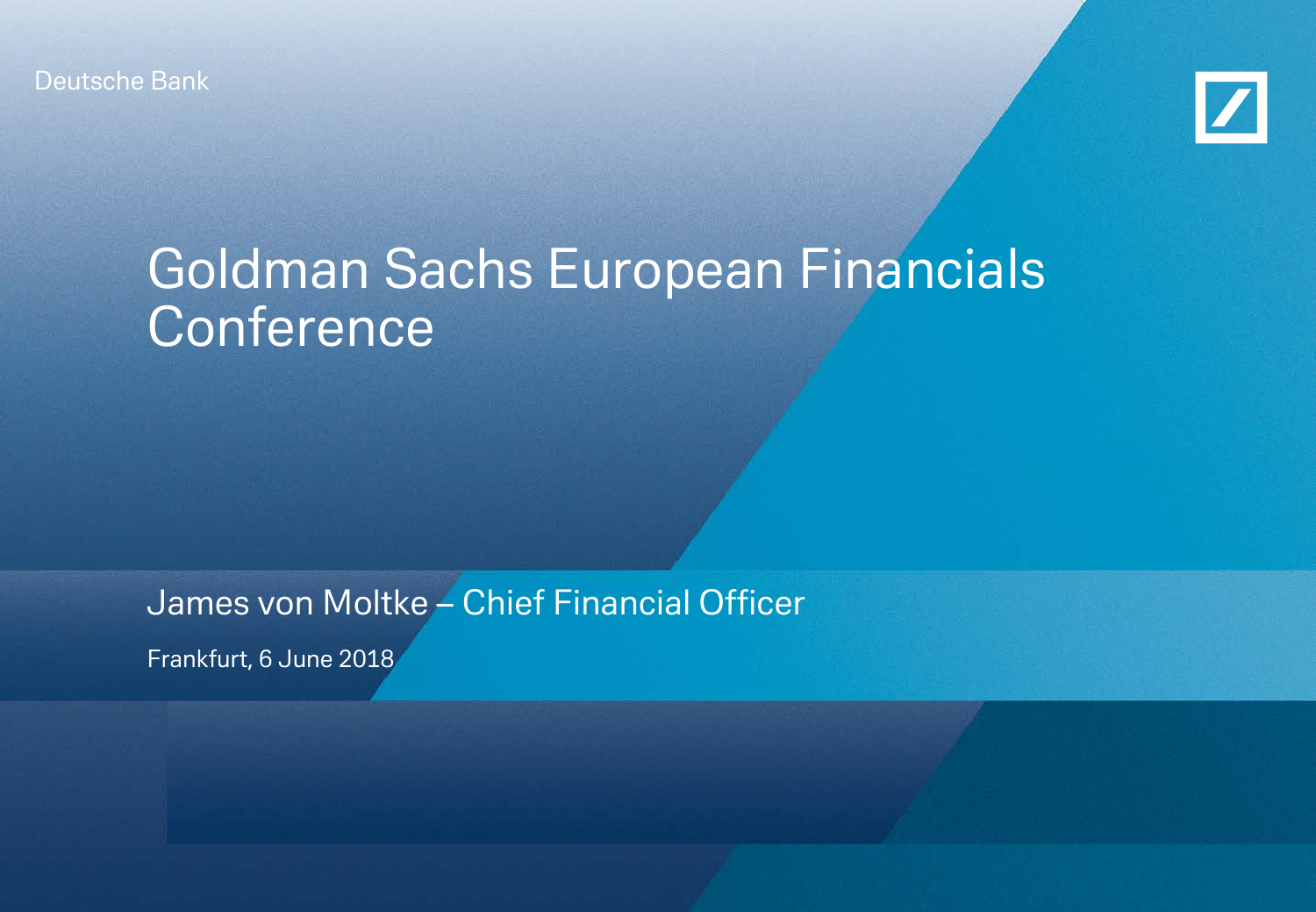Deutsche Bank



# Goldman Sachs European Financials **Conference**

James von Moltke – Chief Financial Officer

Frankfurt, 6 June 2018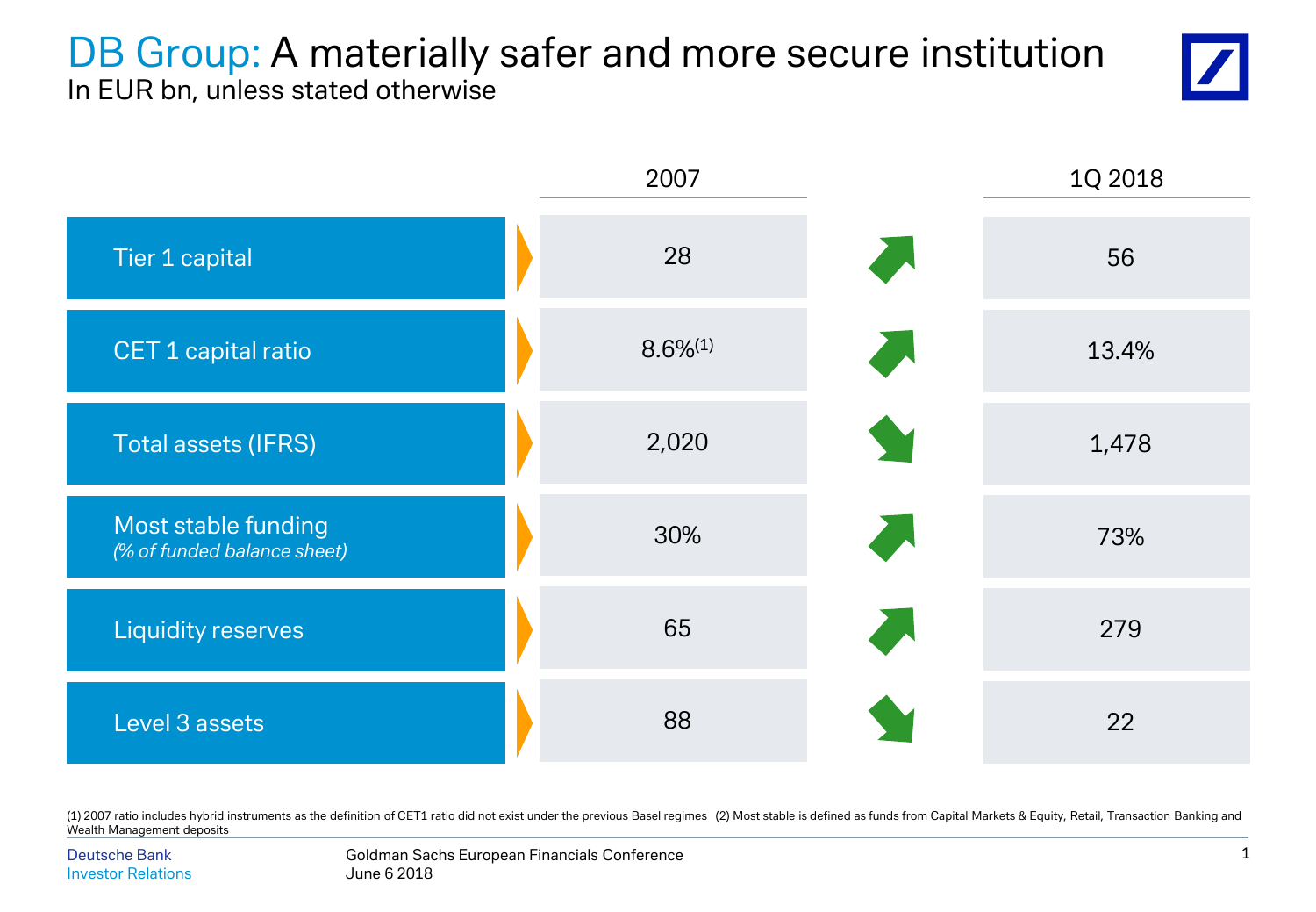### DB Group: A materially safer and more secure institution In EUR bn, unless stated otherwise





(1) 2007 ratio includes hybrid instruments as the definition of CET1 ratio did not exist under the previous Basel regimes (2) Most stable is defined as funds from Capital Markets & Equity, Retail, Transaction Banking and Wealth Management deposits

Goldman Sachs European Financials Conference June 6 2018 Deutsche Bank Investor Relations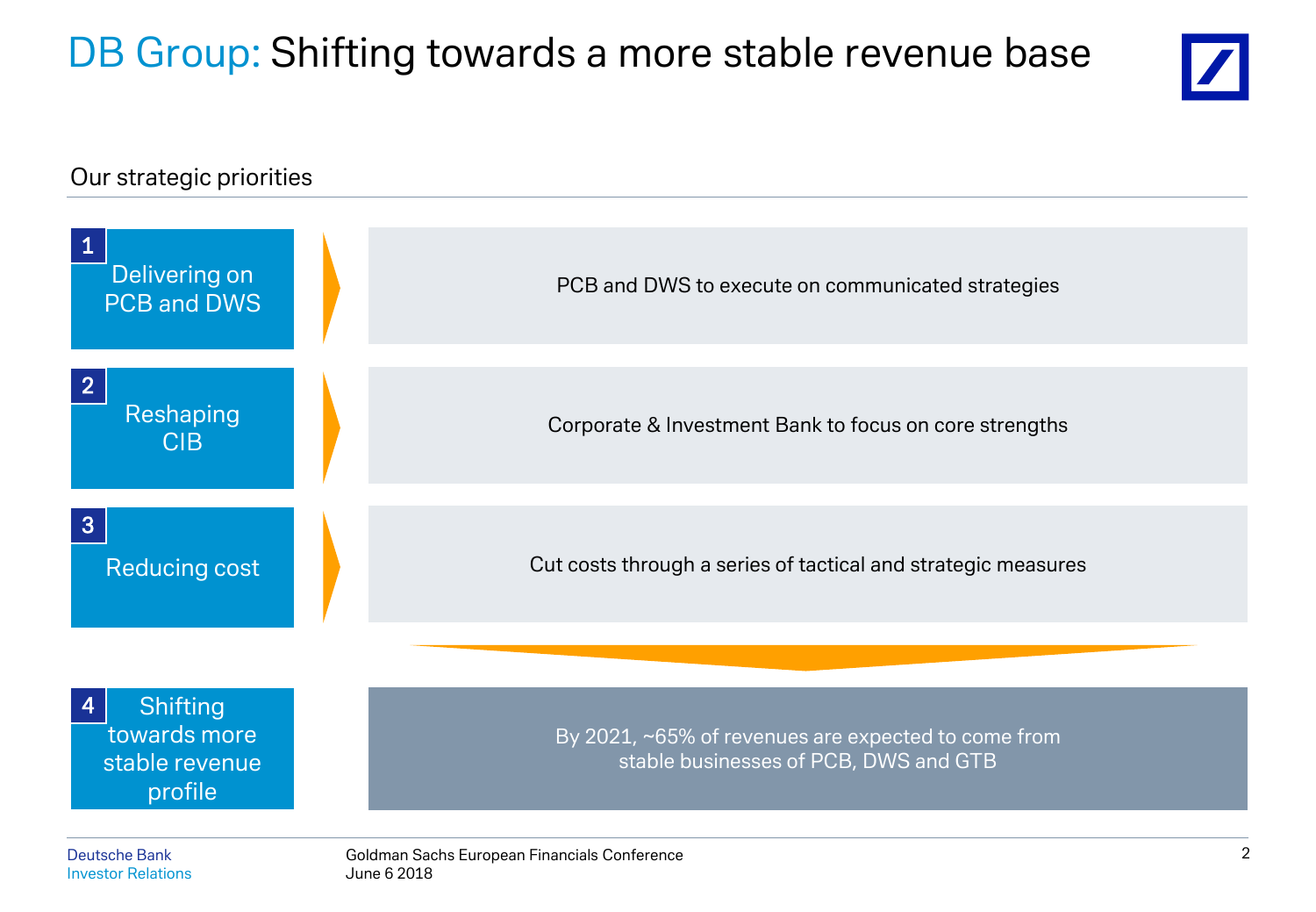# DB Group: Shifting towards a more stable revenue base



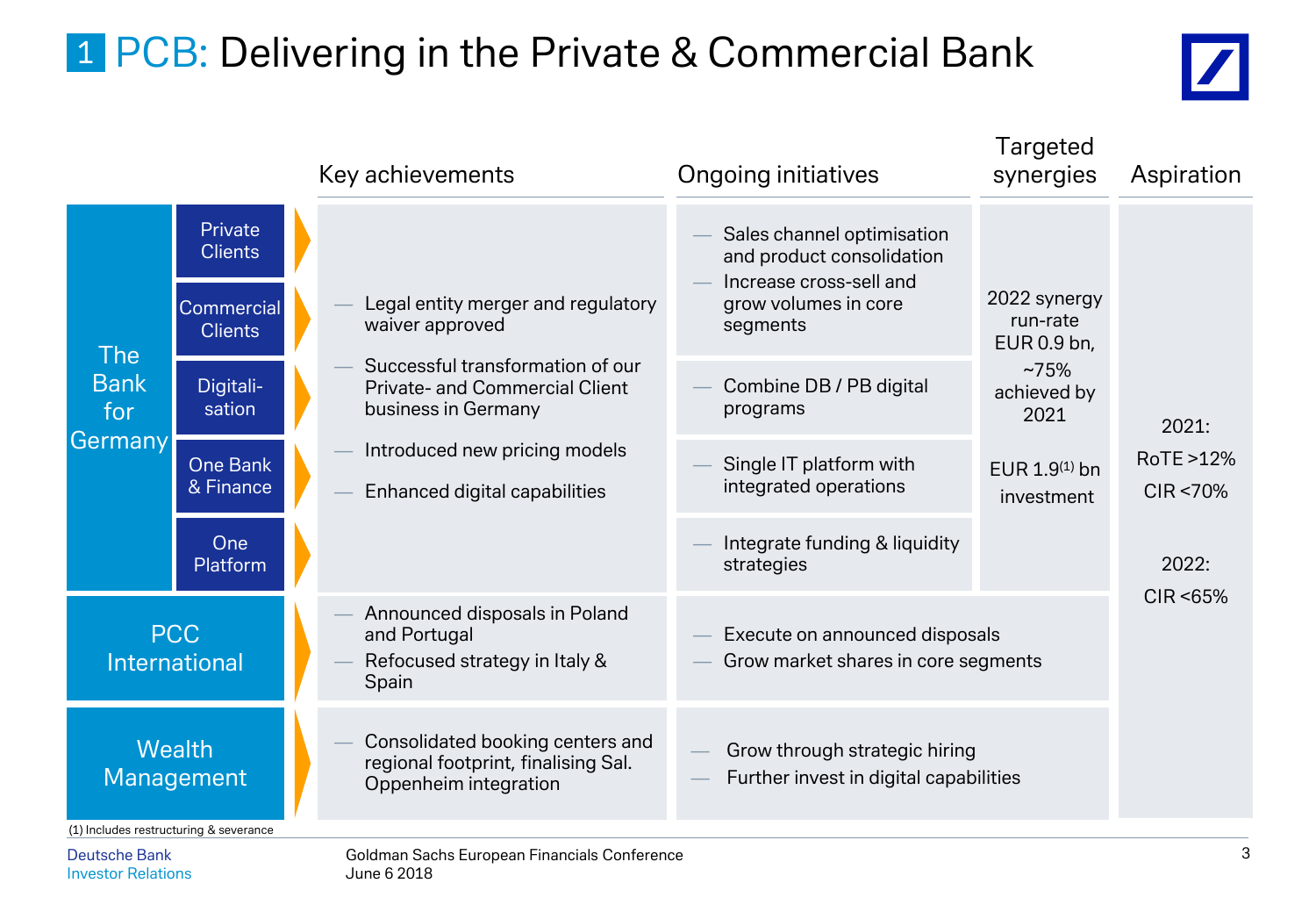# 1 PCB: Delivering in the Private & Commercial Bank



|                                        |                                                                  |  | Key achievements                                                                                 | <b>Ongoing initiatives</b>                                                                                             | Targeted<br>synergies                   | Aspiration                |
|----------------------------------------|------------------------------------------------------------------|--|--------------------------------------------------------------------------------------------------|------------------------------------------------------------------------------------------------------------------------|-----------------------------------------|---------------------------|
|                                        | Private<br><b>Clients</b><br><b>Commercial</b><br><b>Clients</b> |  | Legal entity merger and regulatory<br>waiver approved                                            | Sales channel optimisation<br>and product consolidation<br>Increase cross-sell and<br>grow volumes in core<br>segments | 2022 synergy<br>run-rate<br>EUR 0.9 bn, |                           |
| <b>The</b><br><b>Bank</b><br>for       | Digitali-<br>sation                                              |  | Successful transformation of our<br><b>Private- and Commercial Client</b><br>business in Germany | Combine DB / PB digital<br>programs                                                                                    | ~275%<br>achieved by<br>2021            | 2021:                     |
| Germany                                | <b>One Bank</b><br>& Finance                                     |  | Introduced new pricing models<br>Enhanced digital capabilities                                   | Single IT platform with<br>integrated operations                                                                       | EUR $1.9^{(1)}$ bn<br>investment        | RoTE >12%<br>$CIR < 70\%$ |
|                                        | One<br>Platform                                                  |  |                                                                                                  | Integrate funding & liquidity<br>strategies                                                                            |                                         | 2022:                     |
|                                        | <b>PCC</b><br><b>International</b>                               |  | Announced disposals in Poland<br>and Portugal<br>Refocused strategy in Italy &<br>Spain          | Execute on announced disposals<br>Grow market shares in core segments                                                  |                                         | CIR < 65%                 |
| <b>Wealth</b><br>Management            |                                                                  |  | Consolidated booking centers and<br>regional footprint, finalising Sal.<br>Oppenheim integration | Grow through strategic hiring<br>Further invest in digital capabilities                                                |                                         |                           |
| (1) Includes restructuring & severance |                                                                  |  |                                                                                                  |                                                                                                                        |                                         |                           |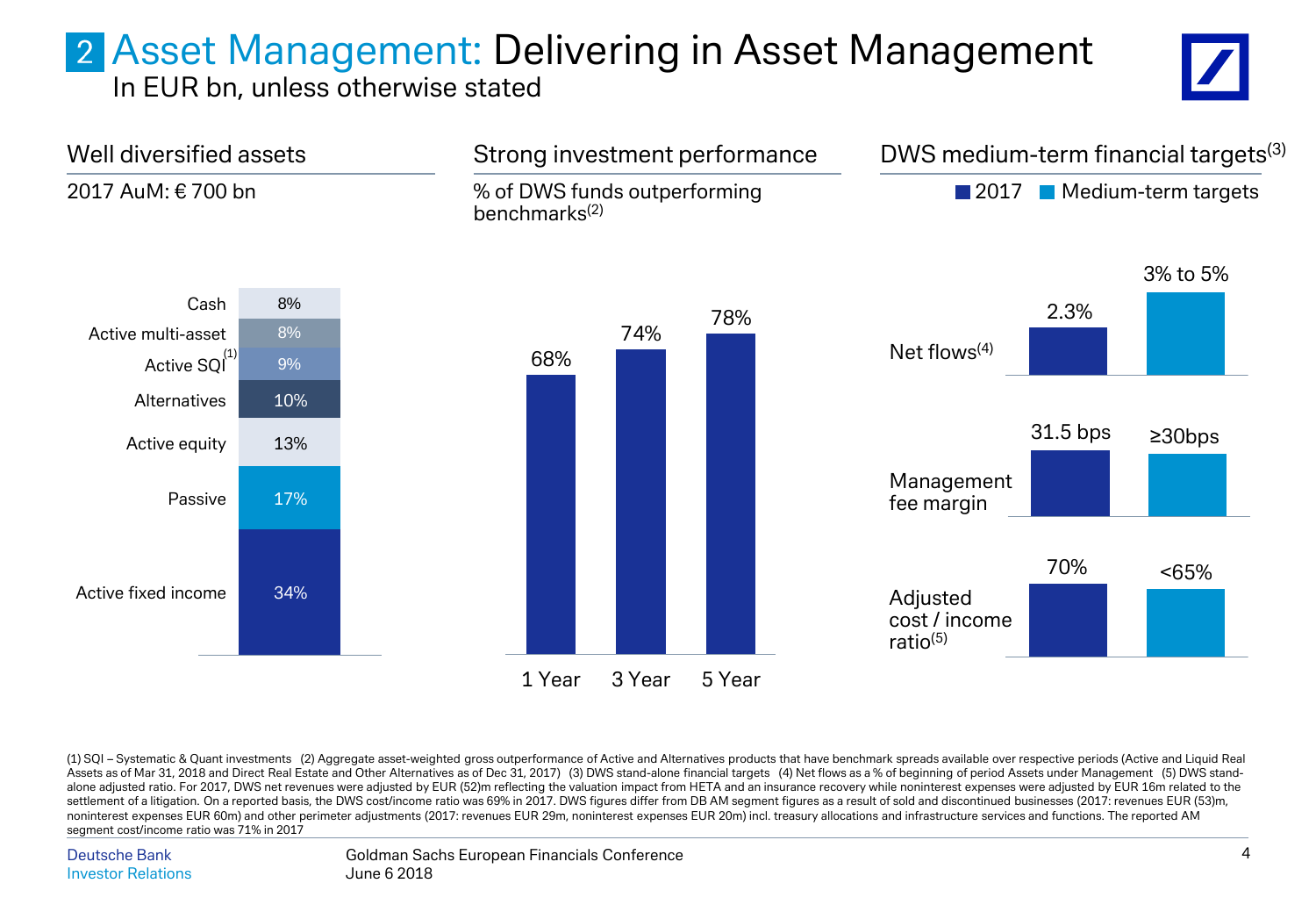## Asset Management: Delivering in Asset Management

In EUR bn, unless otherwise stated





(1) SQI – Systematic & Quant investments (2) Aggregate asset-weighted gross outperformance of Active and Alternatives products that have benchmark spreads available over respective periods (Active and Liquid Real Assets as of Mar 31, 2018 and Direct Real Estate and Other Alternatives as of Dec 31, 2017) (3) DWS stand-alone financial targets (4) Net flows as a % of beginning of period Assets under Management (5) DWS standalone adjusted ratio. For 2017, DWS net revenues were adjusted by EUR (52)m reflecting the valuation impact from HETA and an insurance recovery while noninterest expenses were adjusted by EUR 16m related to the settlement of a litigation. On a reported basis, the DWS cost/income ratio was 69% in 2017. DWS figures differ from DB AM segment figures as a result of sold and discontinued businesses (2017: revenues EUR (53)m, noninterest expenses EUR 60m) and other perimeter adjustments (2017: revenues EUR 29m, noninterest expenses EUR 20m) incl. treasury allocations and infrastructure services and functions. The reported AM segment cost/income ratio was 71% in 2017

Deutsche Bank Investor Relations

Goldman Sachs European Financials Conference June 6 2018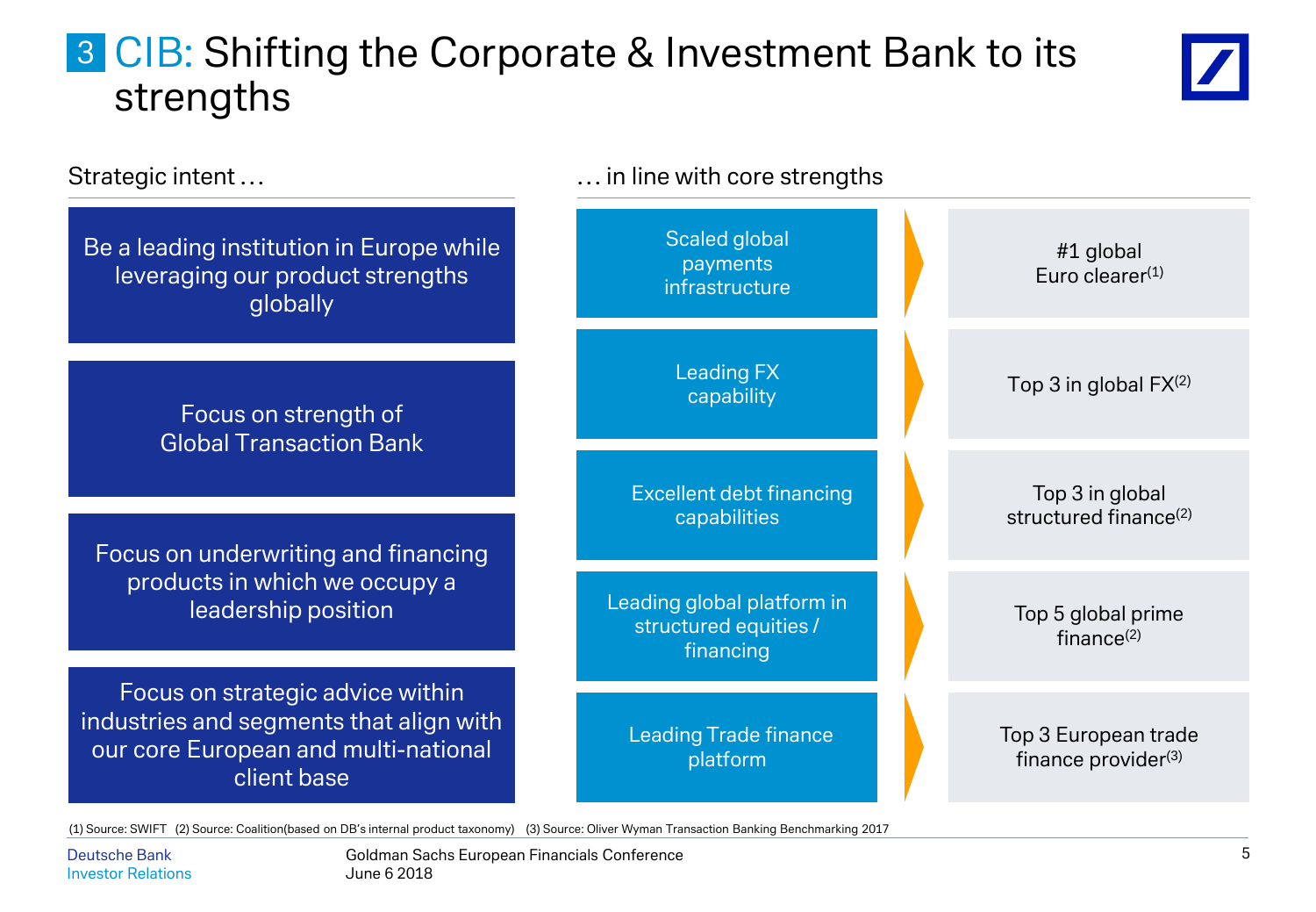## **3 CIB: Shifting the Corporate & Investment Bank to its** strengths



| Strategic intent                                                                                                                   | in line with core strengths                                      |  |                                                      |
|------------------------------------------------------------------------------------------------------------------------------------|------------------------------------------------------------------|--|------------------------------------------------------|
| Be a leading institution in Europe while<br>leveraging our product strengths<br>globally                                           | Scaled global<br>payments<br>infrastructure                      |  | #1 global<br>Euro clearer $(1)$                      |
| Focus on strength of<br><b>Global Transaction Bank</b>                                                                             | <b>Leading FX</b><br>capability                                  |  | Top 3 in global $FX^{(2)}$                           |
| Focus on underwriting and financing                                                                                                | <b>Excellent debt financing</b><br>capabilities                  |  | Top 3 in global<br>structured finance <sup>(2)</sup> |
| products in which we occupy a<br>leadership position                                                                               | Leading global platform in<br>structured equities /<br>financing |  | Top 5 global prime<br>finance $(2)$                  |
| Focus on strategic advice within<br>industries and segments that align with<br>our core European and multi-national<br>client base | <b>Leading Trade finance</b><br>platform                         |  | Top 3 European trade<br>finance provider(3)          |

(1) Source: SWIFT (2) Source: Coalition(based on DB's internal product taxonomy) (3) Source: Oliver Wyman Transaction Banking Benchmarking 2017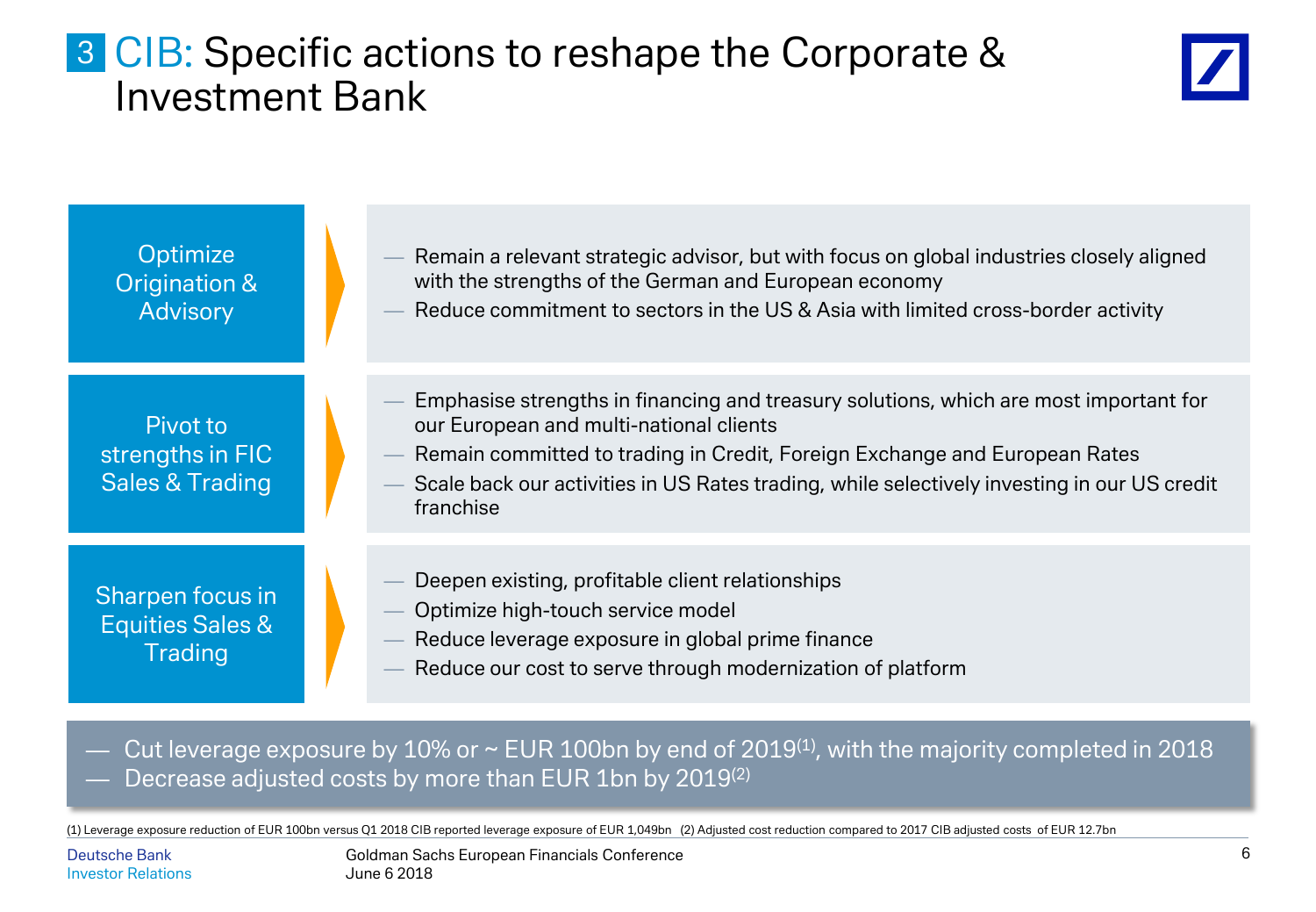### **3 CIB: Specific actions to reshape the Corporate &** Investment Bank



| Optimize<br>Origination &<br><b>Advisory</b>                      | Remain a relevant strategic advisor, but with focus on global industries closely aligned<br>with the strengths of the German and European economy<br>Reduce commitment to sectors in the US & Asia with limited cross-border activity                                                                                      |
|-------------------------------------------------------------------|----------------------------------------------------------------------------------------------------------------------------------------------------------------------------------------------------------------------------------------------------------------------------------------------------------------------------|
| Pivot to<br>strengths in FIC<br><b>Sales &amp; Trading</b>        | Emphasise strengths in financing and treasury solutions, which are most important for<br>our European and multi-national clients<br>Remain committed to trading in Credit, Foreign Exchange and European Rates<br>Scale back our activities in US Rates trading, while selectively investing in our US credit<br>franchise |
| Sharpen focus in<br><b>Equities Sales &amp;</b><br><b>Trading</b> | Deepen existing, profitable client relationships<br>Optimize high-touch service model<br>Reduce leverage exposure in global prime finance<br>Reduce our cost to serve through modernization of platform                                                                                                                    |

Cut leverage exposure by 10% or  $\sim$  EUR 100bn by end of 2019<sup>(1)</sup>, with the majority completed in 2018 Decrease adjusted costs by more than EUR 1bn by 2019<sup>(2)</sup>

(1) Leverage exposure reduction of EUR 100bn versus Q1 2018 CIB reported leverage exposure of EUR 1,049bn (2) Adjusted cost reduction compared to 2017 CIB adjusted costs of EUR 12.7bn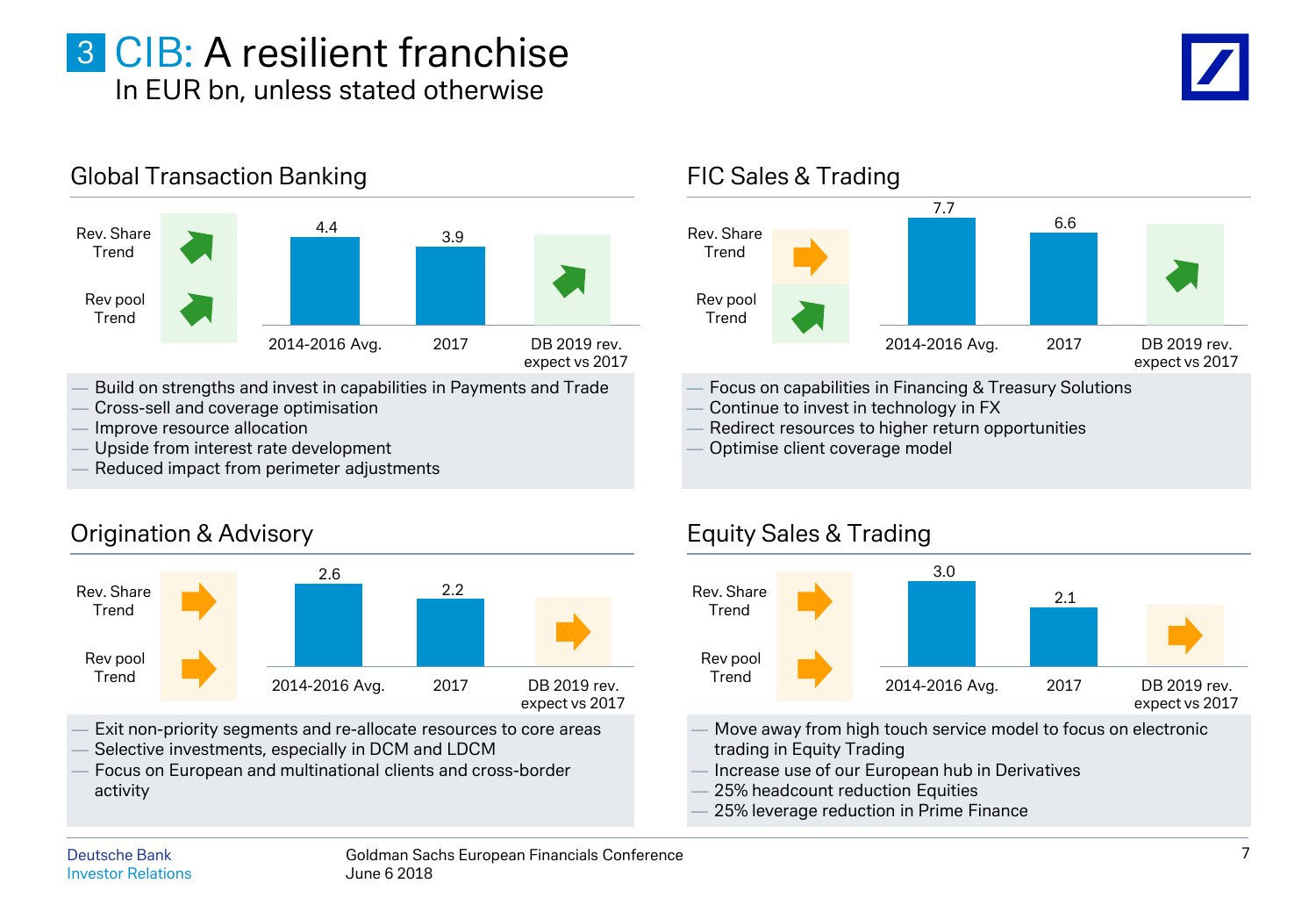### 3 CIB: A resilient franchise In EUR bn, unless stated otherwise



- Build on strengths and invest in capabilities in Payments and Trade
- Cross-sell and coverage optimisation
- Improve resource allocation
- Upside from interest rate development
- Reduced impact from perimeter adjustments

#### Origination & Advisory



- Exit non-priority segments and re-allocate resources to core areas
- Selective investments, especially in DCM and LDCM
- Focus on European and multinational clients and cross-border activity

#### FIC Sales & Trading 6.6 7.7 DB 2019 rev. expect vs 2017 2014-2016 Avg. 2017 Rev. Share Trend Rev pool Trend

- Focus on capabilities in Financing & Treasury Solutions
- Continue to invest in technology in FX
- Redirect resources to higher return opportunities
- Optimise client coverage model



- Move away from high touch service model to focus on electronic trading in Equity Trading
- Increase use of our European hub in Derivatives
- 25% headcount reduction Equities
- 25% leverage reduction in Prime Finance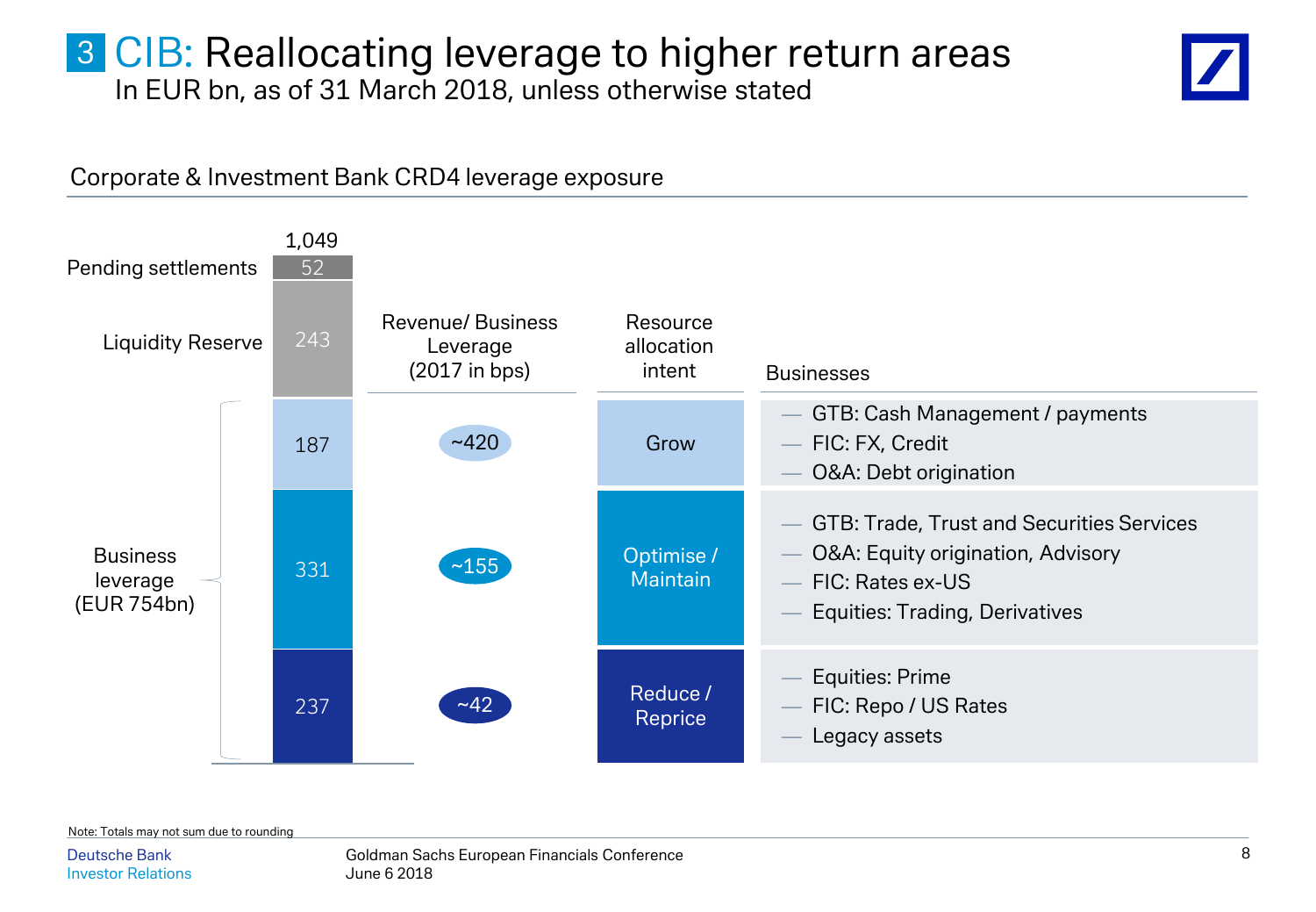### **3 CIB: Reallocating leverage to higher return areas** In EUR bn, as of 31 March 2018, unless otherwise stated



#### Corporate & Investment Bank CRD4 leverage exposure



Note: Totals may not sum due to rounding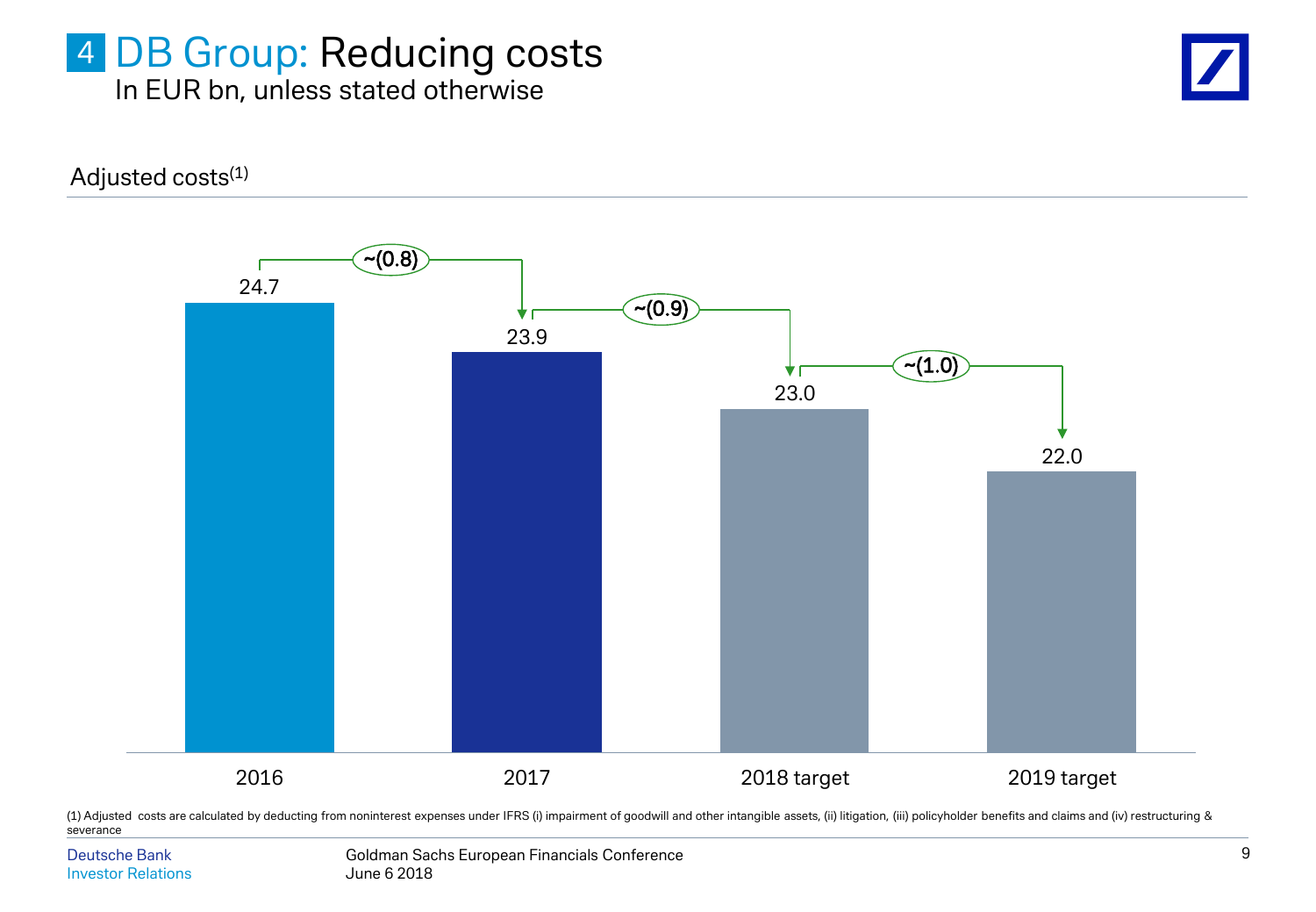### 4 DB Group: Reducing costs In EUR bn, unless stated otherwise

Adjusted costs<sup>(1)</sup>



(1) Adjusted costs are calculated by deducting from noninterest expenses under IFRS (i) impairment of goodwill and other intangible assets, (ii) litigation, (iii) policyholder benefits and claims and (iv) restructuring & severance

Deutsche Bank Investor Relations Goldman Sachs European Financials Conference June 6 2018

9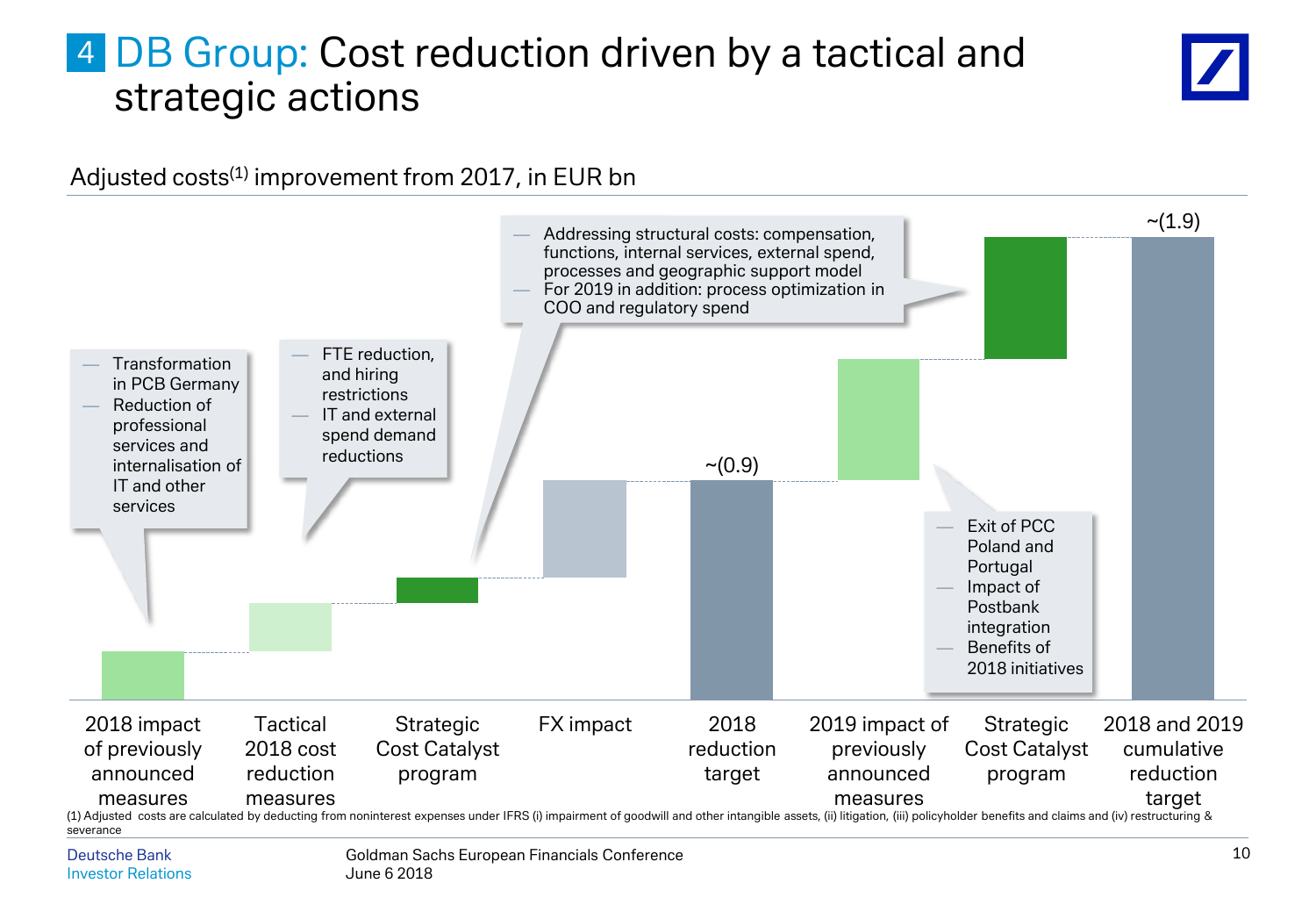### 4 DB Group: Cost reduction driven by a tactical and strategic actions



#### Adjusted costs<sup>(1)</sup> improvement from 2017, in EUR bn

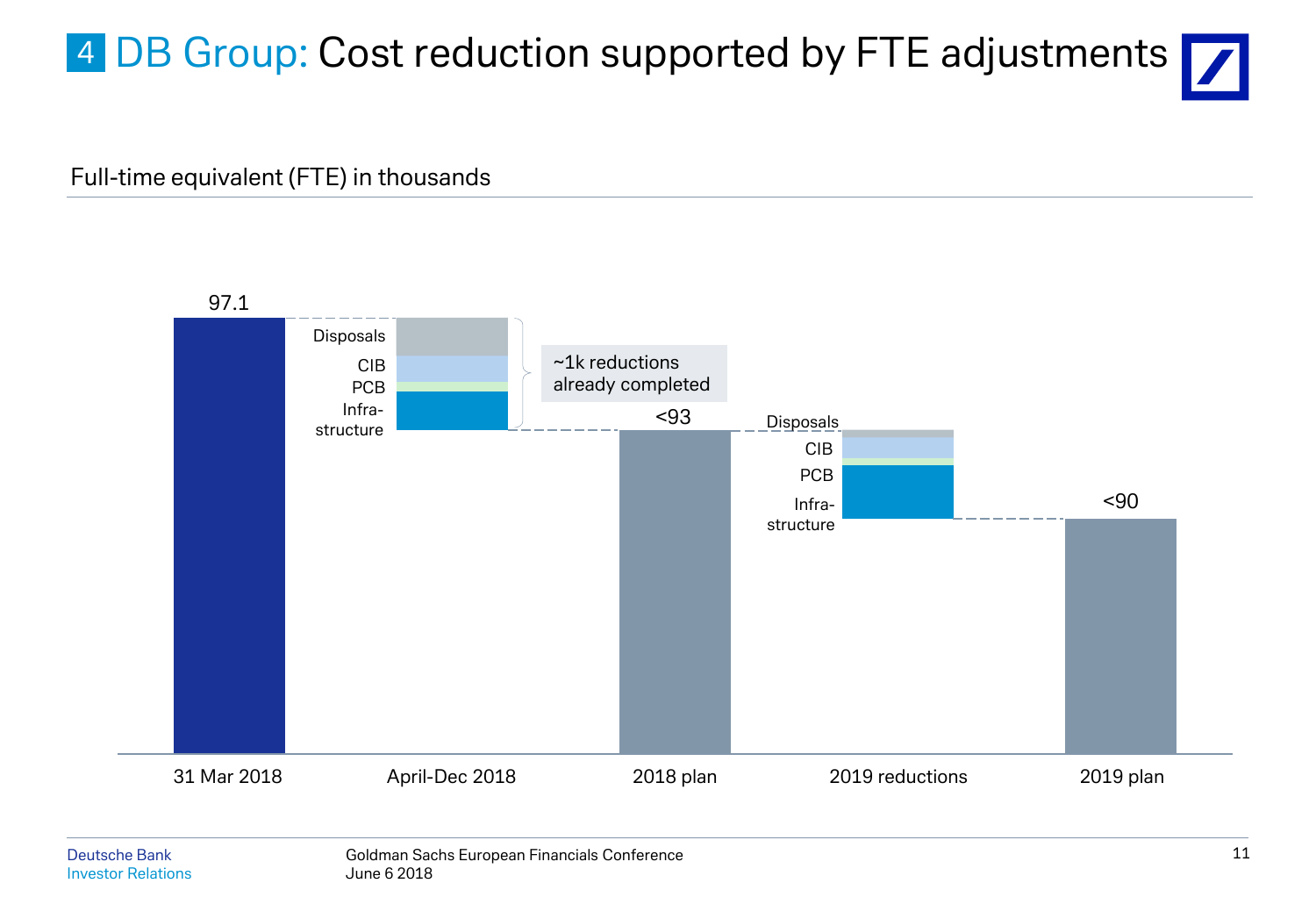# 4 DB Group: Cost reduction supported by FTE adjustments  $\nabla$

#### Full-time equivalent (FTE) in thousands

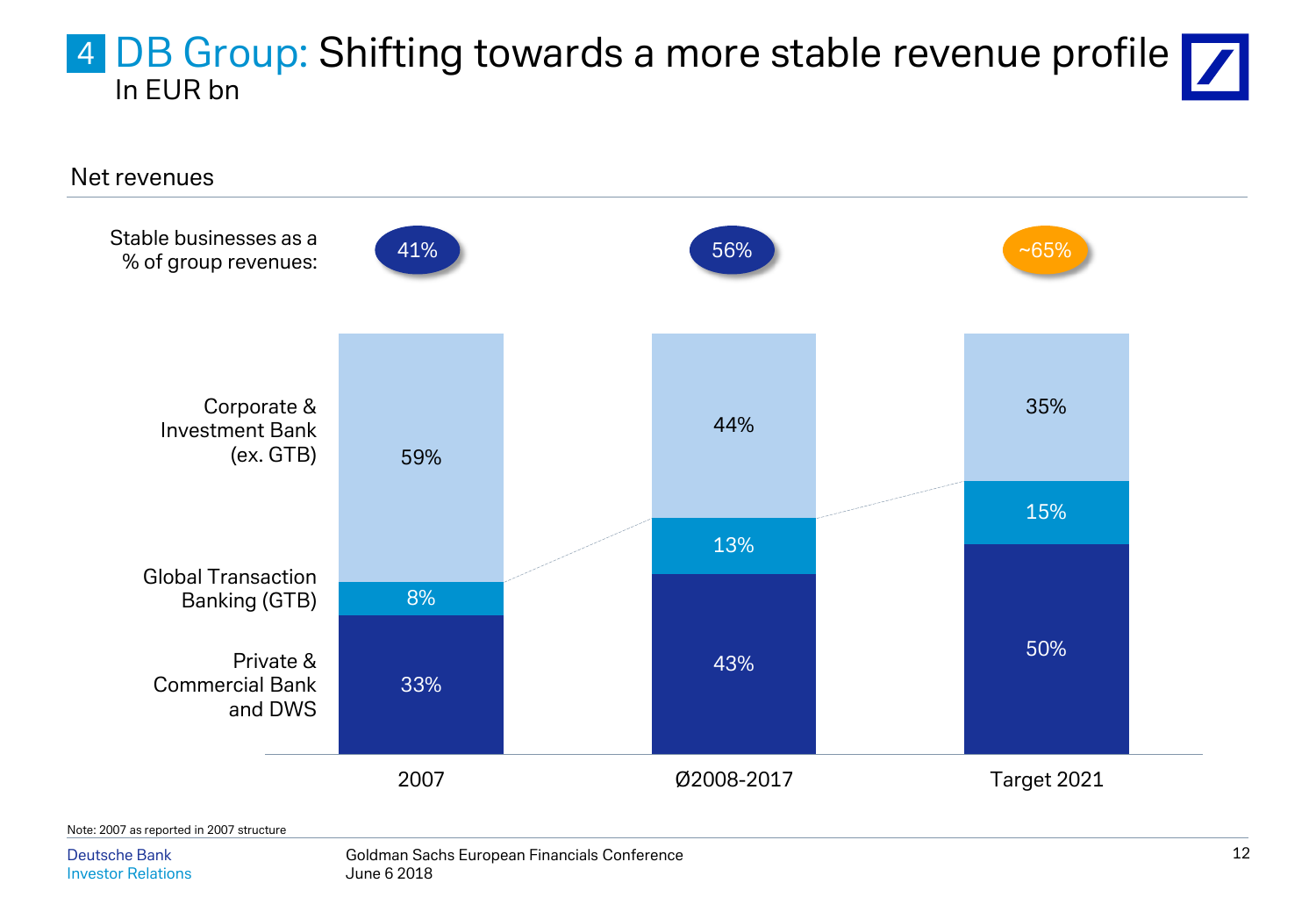### 4 DB Group: Shifting towards a more stable revenue profile In EUR bn



Deutsche Bank Investor Relations Goldman Sachs European Financials Conference June 6 2018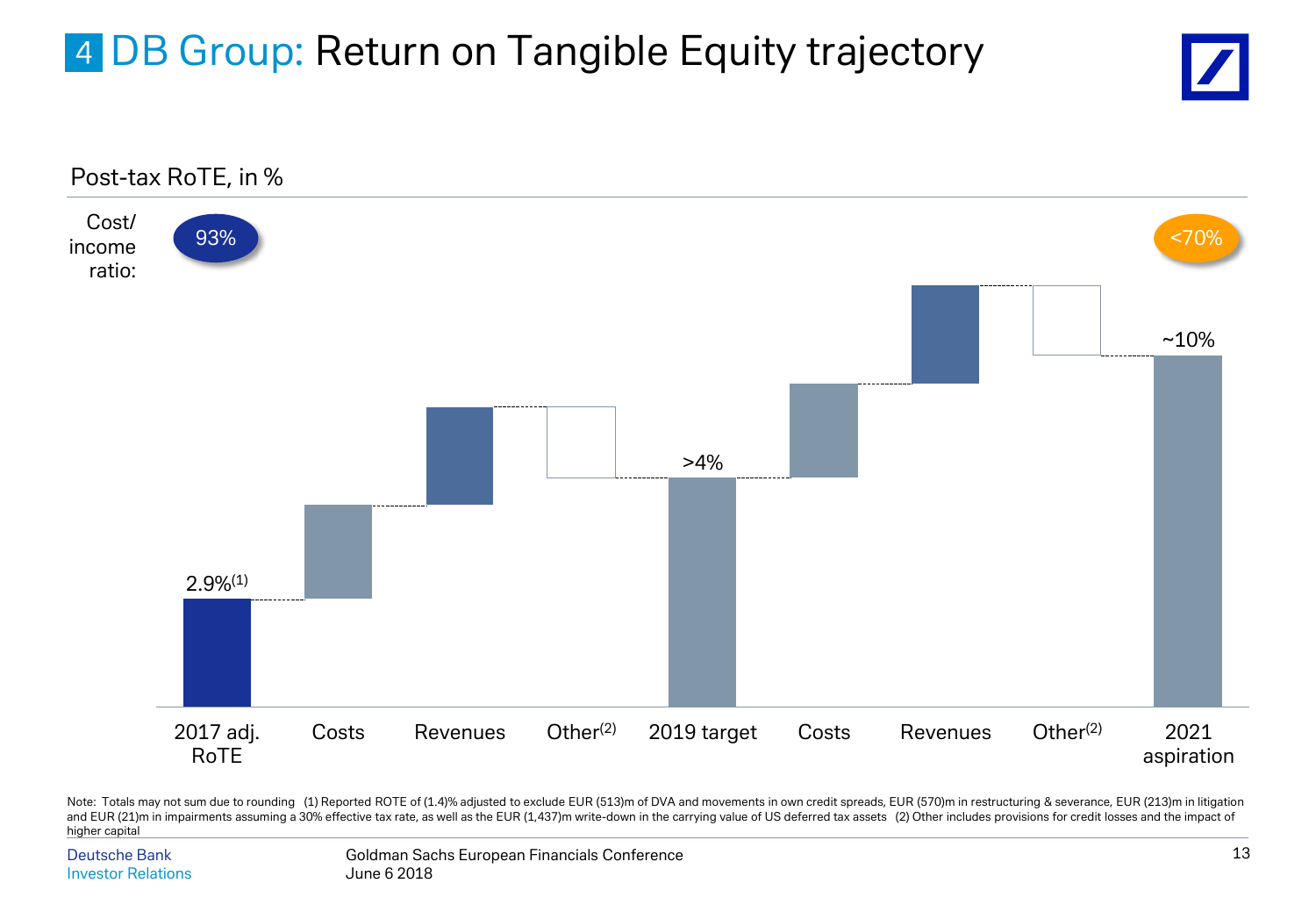# 4 DB Group: Return on Tangible Equity trajectory





Note: Totals may not sum due to rounding (1) Reported ROTE of (1.4)% adjusted to exclude EUR (513)m of DVA and movements in own credit spreads, EUR (570)m in restructuring & severance, EUR (213)m in litigation and EUR (21)m in impairments assuming a 30% effective tax rate, as well as the EUR (1,437)m write-down in the carrying value of US deferred tax assets (2) Other includes provisions for credit losses and the impact of higher capital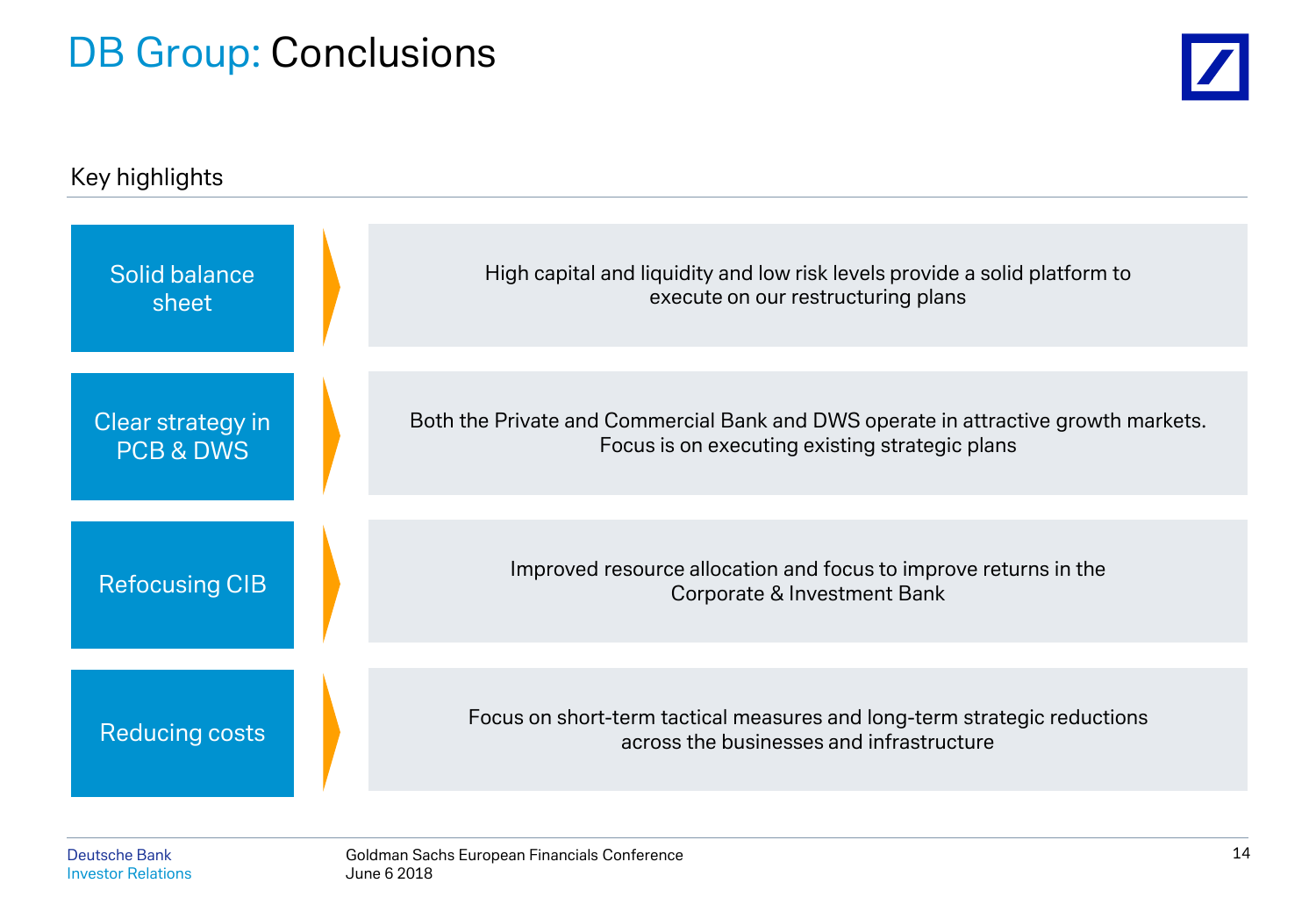## DB Group: Conclusions



| Key highlights                            |  |                                                                                                                                      |  |  |  |
|-------------------------------------------|--|--------------------------------------------------------------------------------------------------------------------------------------|--|--|--|
| Solid balance<br>sheet                    |  | High capital and liquidity and low risk levels provide a solid platform to<br>execute on our restructuring plans                     |  |  |  |
| Clear strategy in<br><b>PCB &amp; DWS</b> |  | Both the Private and Commercial Bank and DWS operate in attractive growth markets.<br>Focus is on executing existing strategic plans |  |  |  |
| <b>Refocusing CIB</b>                     |  | Improved resource allocation and focus to improve returns in the<br>Corporate & Investment Bank                                      |  |  |  |
| <b>Reducing costs</b>                     |  | Focus on short-term tactical measures and long-term strategic reductions<br>across the businesses and infrastructure                 |  |  |  |